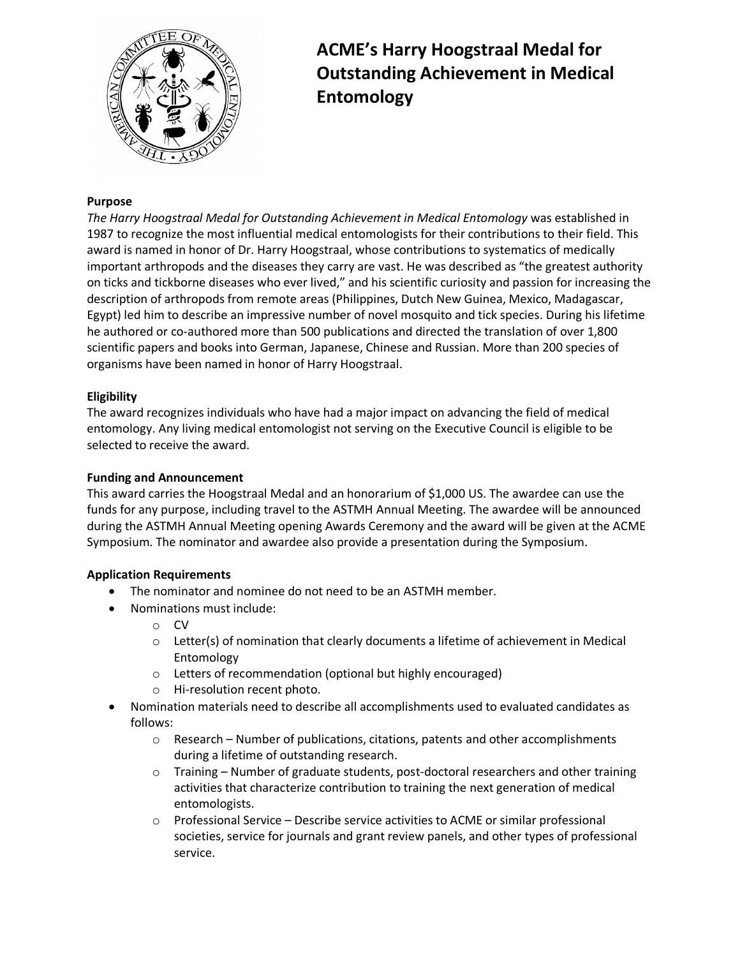

# **ACME's Harry Hoogstraal Medal for Outstanding Achievement in Medical Entomology**

## **Purpose**

*The Harry Hoogstraal Medal for Outstanding Achievement in Medical Entomology* was established in 1987 to recognize the most influential medical entomologists for their contributions to their field. This award is named in honor of Dr. Harry Hoogstraal, whose contributions to systematics of medically important arthropods and the diseases they carry are vast. He was described as "the greatest authority on ticks and tickborne diseases who ever lived," and his scientific curiosity and passion for increasing the description of arthropods from remote areas (Philippines, Dutch New Guinea, Mexico, Madagascar, Egypt) led him to describe an impressive number of novel mosquito and tick species. During his lifetime he authored or co-authored more than 500 publications and directed the translation of over 1,800 scientific papers and books into German, Japanese, Chinese and Russian. More than 200 species of organisms have been named in honor of Harry Hoogstraal.

## **Eligibility**

The award recognizes individuals who have had a major impact on advancing the field of medical entomology. Any living medical entomologist not serving on the Executive Council is eligible to be selected to receive the award.

#### **Funding and Announcement**

This award carries the Hoogstraal Medal and an honorarium of \$1,000 US. The awardee can use the funds for any purpose, including travel to the ASTMH Annual Meeting. The awardee will be announced during the ASTMH Annual Meeting opening Awards Ceremony and the award will be given at the ACME Symposium. The nominator and awardee also provide a presentation during the Symposium.

#### **Application Requirements**

- The nominator and nominee do not need to be an ASTMH member.
- Nominations must include:
	- o CV
	- $\circ$  Letter(s) of nomination that clearly documents a lifetime of achievement in Medical Entomology
	- o Letters of recommendation (optional but highly encouraged)
	- o Hi-resolution recent photo.
- Nomination materials need to describe all accomplishments used to evaluated candidates as follows:
	- o Research Number of publications, citations, patents and other accomplishments during a lifetime of outstanding research.
	- $\circ$  Training Number of graduate students, post-doctoral researchers and other training activities that characterize contribution to training the next generation of medical entomologists.
	- o Professional Service Describe service activities to ACME or similar professional societies, service for journals and grant review panels, and other types of professional service.